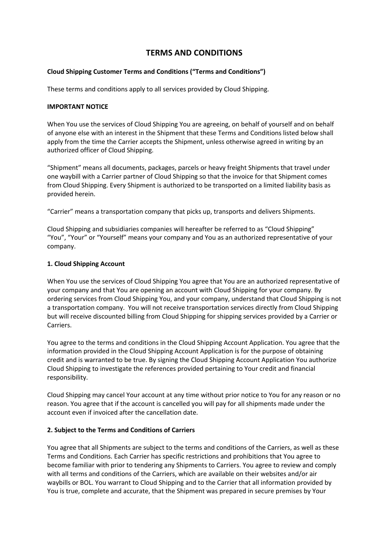# **TERMS AND CONDITIONS**

## **Cloud Shipping Customer Terms and Conditions ("Terms and Conditions")**

These terms and conditions apply to all services provided by Cloud Shipping.

#### **IMPORTANT NOTICE**

When You use the services of Cloud Shipping You are agreeing, on behalf of yourself and on behalf of anyone else with an interest in the Shipment that these Terms and Conditions listed below shall apply from the time the Carrier accepts the Shipment, unless otherwise agreed in writing by an authorized officer of Cloud Shipping.

"Shipment" means all documents, packages, parcels or heavy freight Shipments that travel under one waybill with a Carrier partner of Cloud Shipping so that the invoice for that Shipment comes from Cloud Shipping. Every Shipment is authorized to be transported on a limited liability basis as provided herein.

"Carrier" means a transportation company that picks up, transports and delivers Shipments.

Cloud Shipping and subsidiaries companies will hereafter be referred to as "Cloud Shipping" "You", "Your" or "Yourself" means your company and You as an authorized representative of your company.

## **1. Cloud Shipping Account**

When You use the services of Cloud Shipping You agree that You are an authorized representative of your company and that You are opening an account with Cloud Shipping for your company. By ordering services from Cloud Shipping You, and your company, understand that Cloud Shipping is not a transportation company. You will not receive transportation services directly from Cloud Shipping but will receive discounted billing from Cloud Shipping for shipping services provided by a Carrier or Carriers.

You agree to the terms and conditions in the Cloud Shipping Account Application. You agree that the information provided in the Cloud Shipping Account Application is for the purpose of obtaining credit and is warranted to be true. By signing the Cloud Shipping Account Application You authorize Cloud Shipping to investigate the references provided pertaining to Your credit and financial responsibility.

Cloud Shipping may cancel Your account at any time without prior notice to You for any reason or no reason. You agree that if the account is cancelled you will pay for all shipments made under the account even if invoiced after the cancellation date.

# **2. Subject to the Terms and Conditions of Carriers**

You agree that all Shipments are subject to the terms and conditions of the Carriers, as well as these Terms and Conditions. Each Carrier has specific restrictions and prohibitions that You agree to become familiar with prior to tendering any Shipments to Carriers. You agree to review and comply with all terms and conditions of the Carriers, which are available on their websites and/or air waybills or BOL. You warrant to Cloud Shipping and to the Carrier that all information provided by You is true, complete and accurate, that the Shipment was prepared in secure premises by Your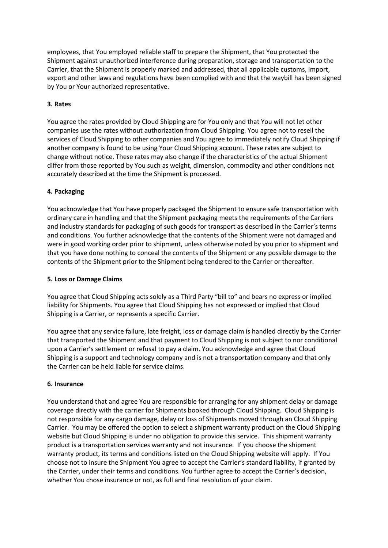employees, that You employed reliable staff to prepare the Shipment, that You protected the Shipment against unauthorized interference during preparation, storage and transportation to the Carrier, that the Shipment is properly marked and addressed, that all applicable customs, import, export and other laws and regulations have been complied with and that the waybill has been signed by You or Your authorized representative.

## **3. Rates**

You agree the rates provided by Cloud Shipping are for You only and that You will not let other companies use the rates without authorization from Cloud Shipping. You agree not to resell the services of Cloud Shipping to other companies and You agree to immediately notify Cloud Shipping if another company is found to be using Your Cloud Shipping account. These rates are subject to change without notice. These rates may also change if the characteristics of the actual Shipment differ from those reported by You such as weight, dimension, commodity and other conditions not accurately described at the time the Shipment is processed.

## **4. Packaging**

You acknowledge that You have properly packaged the Shipment to ensure safe transportation with ordinary care in handling and that the Shipment packaging meets the requirements of the Carriers and industry standards for packaging of such goods for transport as described in the Carrier's terms and conditions. You further acknowledge that the contents of the Shipment were not damaged and were in good working order prior to shipment, unless otherwise noted by you prior to shipment and that you have done nothing to conceal the contents of the Shipment or any possible damage to the contents of the Shipment prior to the Shipment being tendered to the Carrier or thereafter.

#### **5. Loss or Damage Claims**

You agree that Cloud Shipping acts solely as a Third Party "bill to" and bears no express or implied liability for Shipments. You agree that Cloud Shipping has not expressed or implied that Cloud Shipping is a Carrier, or represents a specific Carrier.

You agree that any service failure, late freight, loss or damage claim is handled directly by the Carrier that transported the Shipment and that payment to Cloud Shipping is not subject to nor conditional upon a Carrier's settlement or refusal to pay a claim. You acknowledge and agree that Cloud Shipping is a support and technology company and is not a transportation company and that only the Carrier can be held liable for service claims.

#### **6. Insurance**

You understand that and agree You are responsible for arranging for any shipment delay or damage coverage directly with the carrier for Shipments booked through Cloud Shipping. Cloud Shipping is not responsible for any cargo damage, delay or loss of Shipments moved through an Cloud Shipping Carrier. You may be offered the option to select a shipment warranty product on the Cloud Shipping website but Cloud Shipping is under no obligation to provide this service. This shipment warranty product is a transportation services warranty and not insurance. If you choose the shipment warranty product, its terms and conditions listed on the Cloud Shipping website will apply. If You choose not to insure the Shipment You agree to accept the Carrier's standard liability, if granted by the Carrier, under their terms and conditions. You further agree to accept the Carrier's decision, whether You chose insurance or not, as full and final resolution of your claim.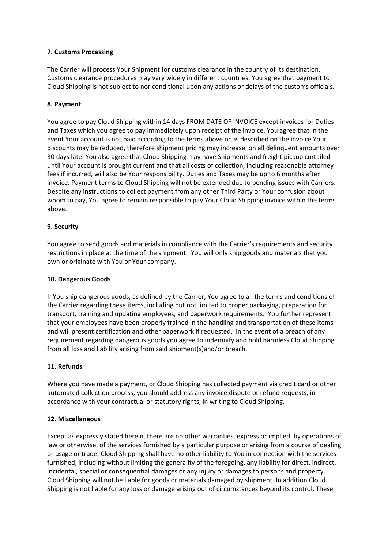## **7. Customs Processing**

The Carrier will process Your Shipment for customs clearance in the country of its destination. Customs clearance procedures may vary widely in different countries. You agree that payment to Cloud Shipping is not subject to nor conditional upon any actions or delays of the customs officials.

#### **8. Payment**

You agree to pay Cloud Shipping within 14 days FROM DATE OF INVOICE except invoices for Duties and Taxes which you agree to pay immediately upon receipt of the invoice. You agree that in the event Your account is not paid according to the terms above or as described on the invoice Your discounts may be reduced, therefore shipment pricing may increase, on all delinquent amounts over 30 days late. You also agree that Cloud Shipping may have Shipments and freight pickup curtailed until Your account is brought current and that all costs of collection, including reasonable attorney fees if incurred, will also be Your responsibility. Duties and Taxes may be up to 6 months after invoice. Payment terms to Cloud Shipping will not be extended due to pending issues with Carriers. Despite any instructions to collect payment from any other Third Party or Your confusion about whom to pay, You agree to remain responsible to pay Your Cloud Shipping invoice within the terms above.

## **9. Security**

You agree to send goods and materials in compliance with the Carrier's requirements and security restrictions in place at the time of the shipment. You will only ship goods and materials that you own or originate with You or Your company.

#### **10. Dangerous Goods**

If You ship dangerous goods, as defined by the Carrier, You agree to all the terms and conditions of the Carrier regarding these items, including but not limited to proper packaging, preparation for transport, training and updating employees, and paperwork requirements. You further represent that your employees have been properly trained in the handling and transportation of these items and will present certification and other paperwork if requested. In the event of a breach of any requirement regarding dangerous goods you agree to indemnify and hold harmless Cloud Shipping from all loss and liability arising from said shipment(s)and/or breach.

# **11. Refunds**

Where you have made a payment, or Cloud Shipping has collected payment via credit card or other automated collection process, you should address any invoice dispute or refund requests, in accordance with your contractual or statutory rights, in writing to Cloud Shipping.

#### **12. Miscellaneous**

Except as expressly stated herein, there are no other warranties, express or implied, by operations of law or otherwise, of the services furnished by a particular purpose or arising from a course of dealing or usage or trade. Cloud Shipping shall have no other liability to You in connection with the services furnished, including without limiting the generality of the foregoing, any liability for direct, indirect, incidental, special or consequential damages or any injury or damages to persons and property. Cloud Shipping will not be liable for goods or materials damaged by shipment. In addition Cloud Shipping is not liable for any loss or damage arising out of circumstances beyond its control. These